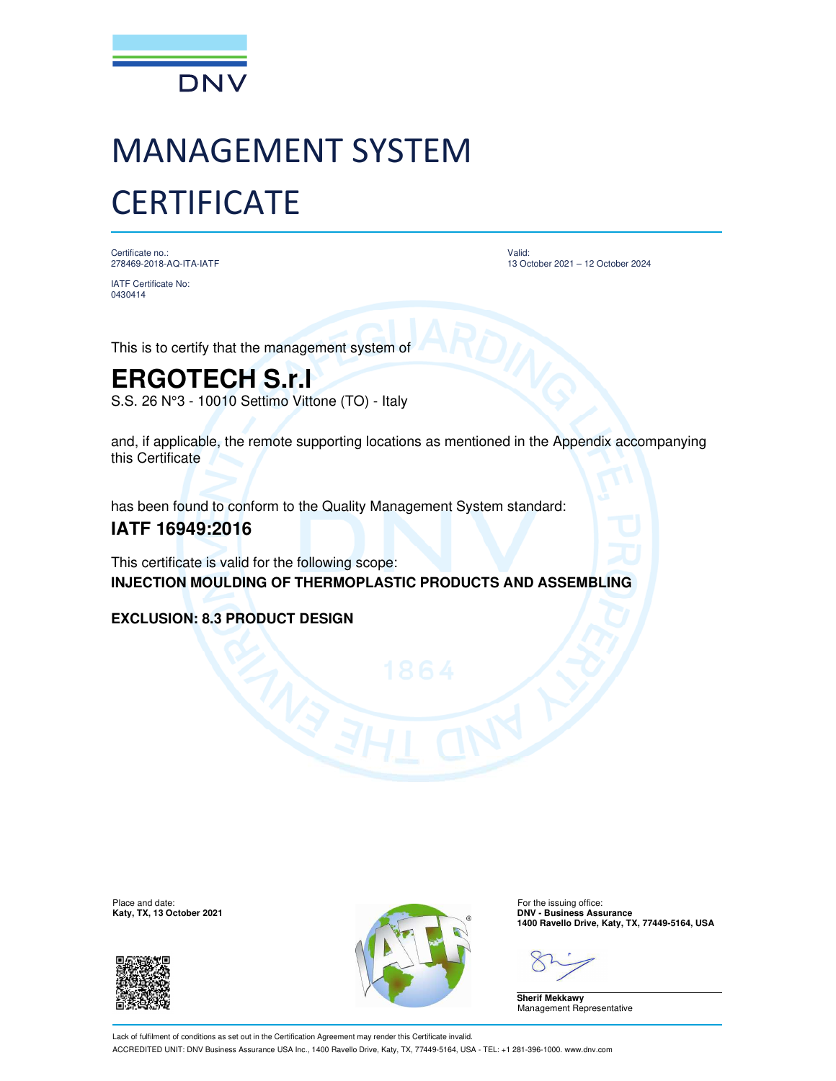

# MANAGEMENT SYSTEM **CERTIFICATE**

Certificate no.: 278469-2018-AQ-ITA-IATF Valid: 13 October 2021 – 12 October 2024

IATF Certificate No: 0430414

This is to certify that the management system of

## **ERGOTECH S.r.l**

S.S. 26 N°3 - 10010 Settimo Vittone (TO) - Italy

and, if applicable, the remote supporting locations as mentioned in the Appendix accompanying this Certificate

has been found to conform to the Quality Management System standard:

### **IATF 16949:2016**

This certificate is valid for the following scope: **INJECTION MOULDING OF THERMOPLASTIC PRODUCTS AND ASSEMBLING**

**EXCLUSION: 8.3 PRODUCT DESIGN**





**1400 Ravello Drive, Katy, TX, 77449-5164, USA**

**Sherif Mekkawy** Management Representative

Lack of fulfilment of conditions as set out in the Certification Agreement may render this Certificate invalid. ACCREDITED UNIT: DNV Business Assurance USA Inc., 1400 Ravello Drive, Katy, TX, 77449-5164, USA - TEL: +1 281-396-1000. www.dnv.com